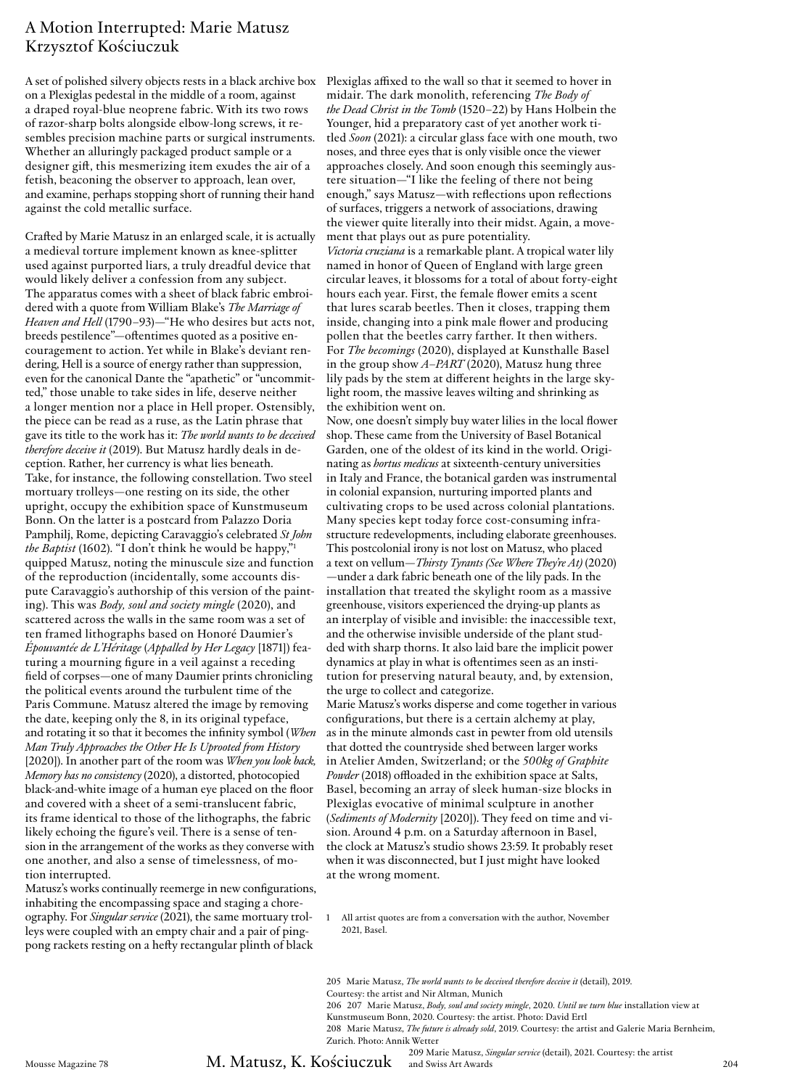## A Motion Interrupted: Marie Matusz Krzysztof Kościuczuk

A set of polished silvery objects rests in a black archive box Plexiglas affixed to the wall so that it seemed to hover in on a Plexiglas pedestal in the middle of a room, against a draped royal-blue neoprene fabric. With its two rows of razor-sharp bolts alongside elbow-long screws, it resembles precision machine parts or surgical instruments. Whether an alluringly packaged product sample or a designer gift, this mesmerizing item exudes the air of a fetish, beaconing the observer to approach, lean over, and examine, perhaps stopping short of running their hand against the cold metallic surface.

Crafted by Marie Matusz in an enlarged scale, it is actually a medieval torture implement known as knee-splitter used against purported liars, a truly dreadful device that would likely deliver a confession from any subject. The apparatus comes with a sheet of black fabric embroidered with a quote from William Blake's *The Marriage of Heaven and Hell* (1790–93)—"He who desires but acts not, breeds pestilence"—oftentimes quoted as a positive encouragement to action. Yet while in Blake's deviant rendering, Hell is a source of energy rather than suppression, even for the canonical Dante the "apathetic" or "uncommitted," those unable to take sides in life, deserve neither a longer mention nor a place in Hell proper. Ostensibly, the piece can be read as a ruse, as the Latin phrase that gave its title to the work has it: *The world wants to be deceived therefore deceive it* (2019). But Matusz hardly deals in deception. Rather, her currency is what lies beneath. Take, for instance, the following constellation. Two steel mortuary trolleys—one resting on its side, the other upright, occupy the exhibition space of Kunstmuseum Bonn. On the latter is a postcard from Palazzo Doria Pamphilj, Rome, depicting Caravaggio's celebrated *St John the Baptist* (1602). "I don't think he would be happy,"1 quipped Matusz, noting the minuscule size and function of the reproduction (incidentally, some accounts dispute Caravaggio's authorship of this version of the painting). This was *Body, soul and society mingle* (2020), and scattered across the walls in the same room was a set of ten framed lithographs based on Honoré Daumier's *Épouvantée de L'Héritage* (*Appalled by Her Legacy* [1871]) featuring a mourning figure in a veil against a receding field of corpses—one of many Daumier prints chronicling the political events around the turbulent time of the Paris Commune. Matusz altered the image by removing the date, keeping only the 8, in its original typeface, and rotating it so that it becomes the infinity symbol (*When Man Truly Approaches the Other He Is Uprooted from History* [2020]). In another part of the room was *When you look back*, *Memory has no consistency* (2020), a distorted, photocopied black-and-white image of a human eye placed on the floor and covered with a sheet of a semi-translucent fabric, its frame identical to those of the lithographs, the fabric likely echoing the figure's veil. There is a sense of tension in the arrangement of the works as they converse with one another, and also a sense of timelessness, of motion interrupted.

Matusz's works continually reemerge in new configurations, inhabiting the encompassing space and staging a choreography. For *Singular service* (2021), the same mortuary trolleys were coupled with an empty chair and a pair of pingpong rackets resting on a hefty rectangular plinth of black

midair. The dark monolith, referencing *The Body of the Dead Christ in the Tomb* (1520–22) by Hans Holbein the Younger, hid a preparatory cast of yet another work titled *Soon* (2021): a circular glass face with one mouth, two noses, and three eyes that is only visible once the viewer approaches closely. And soon enough this seemingly austere situation—"I like the feeling of there not being enough," says Matusz—with reflections upon reflections of surfaces, triggers a network of associations, drawing the viewer quite literally into their midst. Again, a movement that plays out as pure potentiality. *Victoria cruziana* is a remarkable plant. A tropical water lily named in honor of Queen of England with large green circular leaves, it blossoms for a total of about forty-eight hours each year. First, the female flower emits a scent that lures scarab beetles. Then it closes, trapping them inside, changing into a pink male flower and producing pollen that the beetles carry farther. It then withers. For *The becomings* (2020), displayed at Kunsthalle Basel in the group show *A–PART* (2020), Matusz hung three lily pads by the stem at different heights in the large skylight room, the massive leaves wilting and shrinking as the exhibition went on.

Now, one doesn't simply buy water lilies in the local flower shop. These came from the University of Basel Botanical Garden, one of the oldest of its kind in the world. Originating as *hortus medicus* at sixteenth-century universities in Italy and France, the botanical garden was instrumental in colonial expansion, nurturing imported plants and cultivating crops to be used across colonial plantations. Many species kept today force cost-consuming infrastructure redevelopments, including elaborate greenhouses. This postcolonial irony is not lost on Matusz, who placed a text on vellum—*Thirsty Tyrants (See Where They're At)* (2020) —under a dark fabric beneath one of the lily pads. In the installation that treated the skylight room as a massive greenhouse, visitors experienced the drying-up plants as an interplay of visible and invisible: the inaccessible text, and the otherwise invisible underside of the plant studded with sharp thorns. It also laid bare the implicit power dynamics at play in what is oftentimes seen as an institution for preserving natural beauty, and, by extension, the urge to collect and categorize.

Marie Matusz's works disperse and come together in various configurations, but there is a certain alchemy at play, as in the minute almonds cast in pewter from old utensils that dotted the countryside shed between larger works in Atelier Amden, Switzerland; or the *500kg of Graphite Powder* (2018) offloaded in the exhibition space at Salts, Basel, becoming an array of sleek human-size blocks in Plexiglas evocative of minimal sculpture in another (*Sediments of Modernity* [2020]). They feed on time and vision. Around 4 p.m. on a Saturday afternoon in Basel, the clock at Matusz's studio shows 23:59. It probably reset when it was disconnected, but I just might have looked at the wrong moment.

1 All artist quotes are from a conversation with the author, November 2021, Basel.

205 Marie Matusz, *The world wants to be deceived therefore deceive it* (detail), 2019. Courtesy: the artist and Nir Altman, Munich 206 207 Marie Matusz, *Body, soul and society mingle*, 2020. *Until we turn blue* installation view at Kunstmuseum Bonn, 2020. Courtesy: the artist. Photo: David Ertl 208 Marie Matusz, *The future is already sold*, 2019. Courtesy: the artist and Galerie Maria Bernheim, Zurich. Photo: Annik Wetter 209 Marie Matusz, *Singular service* (detail), 2021. Courtesy: the artist

Mousse Magazine 78 M. Matusz, K. Kościuczuk and Swiss Art Awards and Swiss Art Awards 204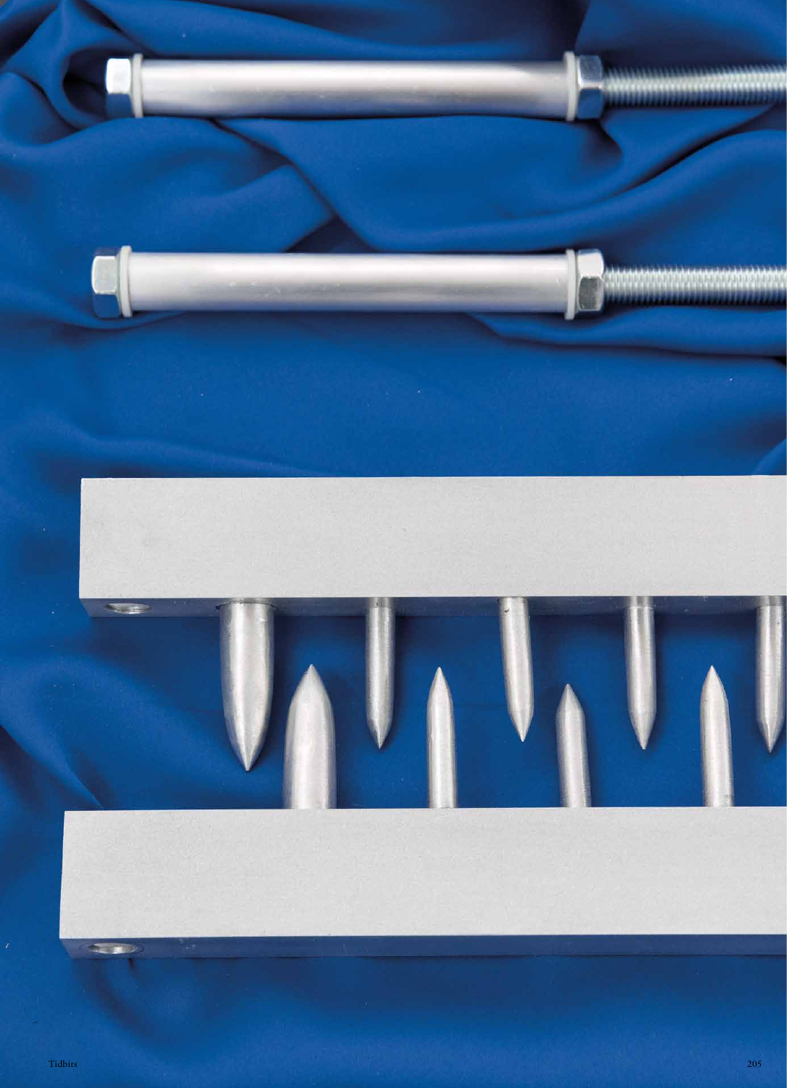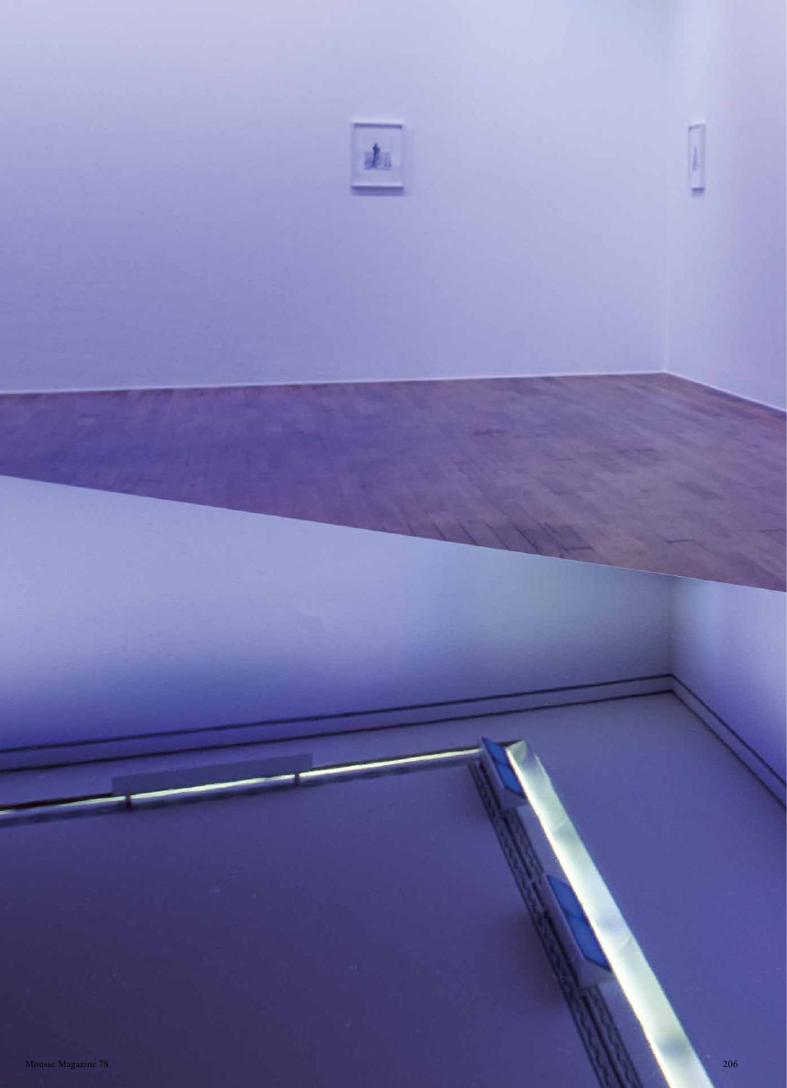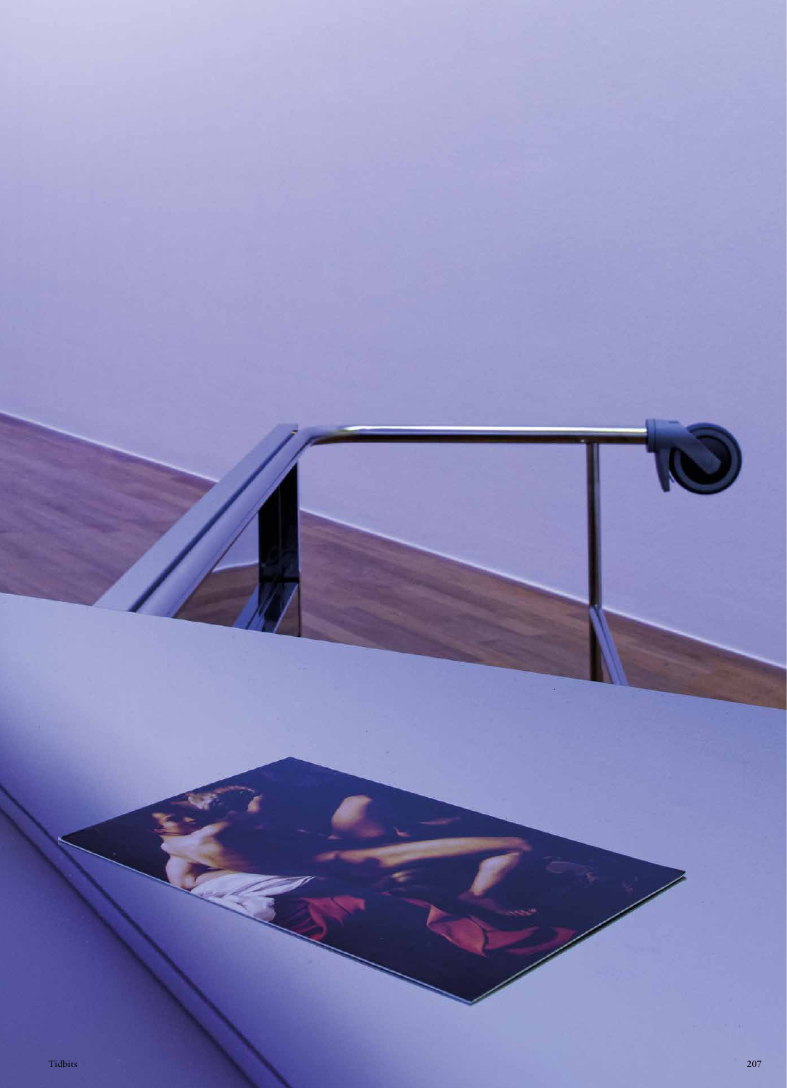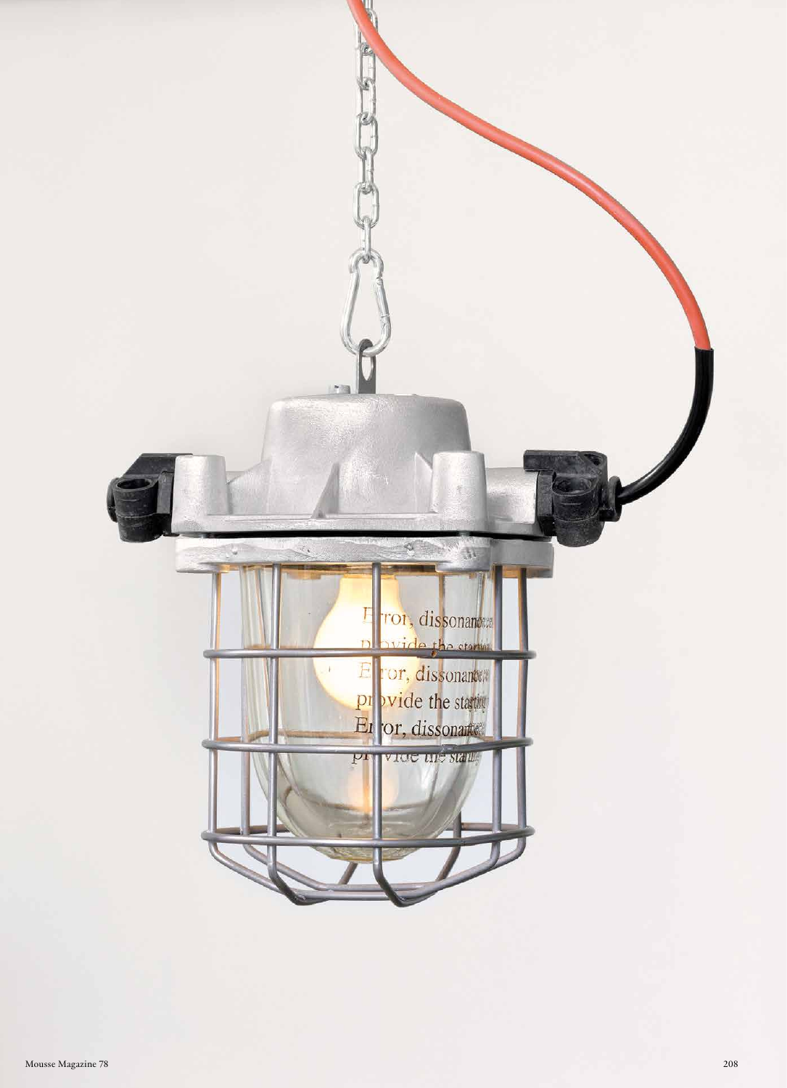